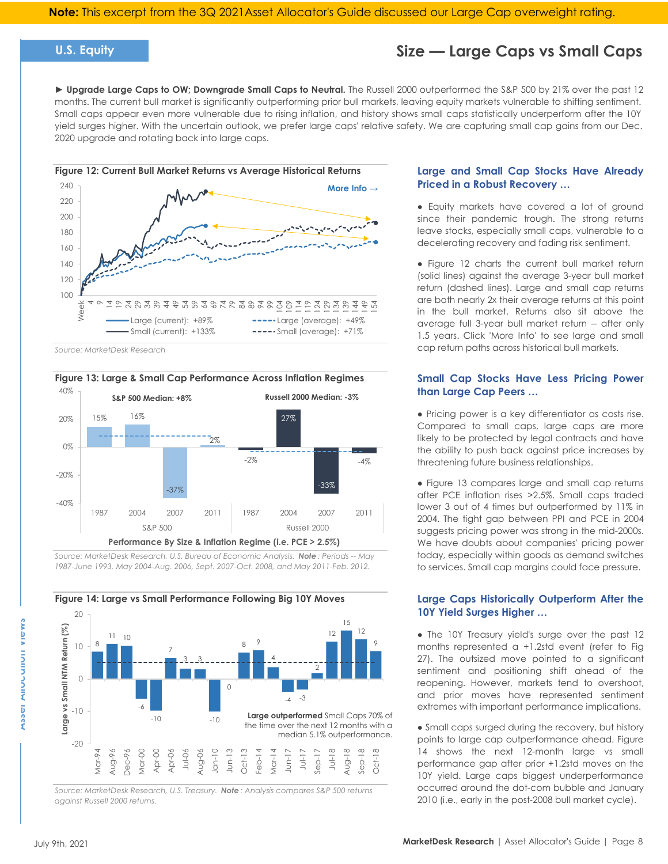## **U.S. Equity**

## **Size — Large Caps vs Small Caps**

► **Upgrade Large Caps to OW; Downgrade Small Caps to Neutral.** The Russell 2000 outperformed the S&P 500 by 21% over the past 12 months. The current bull market is significantly outperforming prior bull markets, leaving equity markets vulnerable to shifting sentiment. Small caps appear even more vulnerable due to rising inflation, and history shows small caps statistically underperform after the 10Y yield surges higher. With the uncertain outlook, we prefer large caps' relative safety. We are capturing small cap gains from our Dec. 2020 upgrade and rotating back into large caps.



*Source: MarketDesk Research*



*Source: MarketDesk Research, U.S. Bureau of Economic Analysis. Note : Periods -- May 1987-June 1993, May 2004-Aug. 2006, Sept. 2007-Oct. 2008, and May 2011-Feb. 2012.*



*Source: MarketDesk Research, U.S. Treasury. Note : Analysis compares S&P 500 returns against Russell 2000 returns.*

## **Large and Small Cap Stocks Have Already Priced in a Robust Recovery …**

• Equity markets have covered a lot of ground since their pandemic trough. The strong returns leave stocks, especially small caps, vulnerable to a decelerating recovery and fading risk sentiment.

● Figure 12 charts the current bull market return (solid lines) against the average 3-year bull market return (dashed lines). Large and small cap returns are both nearly 2x their average returns at this point in the bull market. Returns also sit above the average full 3-year bull market return -- after only 1.5 years. Click 'More Info' to see large and small cap return paths across historical bull markets.

### **Small Cap Stocks Have Less Pricing Power than Large Cap Peers …**

● Pricing power is a key differentiator as costs rise. Compared to small caps, large caps are more likely to be protected by legal contracts and have the ability to push back against price increases by threatening future business relationships.

● Figure 13 compares large and small cap returns after PCE inflation rises >2.5%. Small caps traded lower 3 out of 4 times but outperformed by 11% in 2004. The tight gap between PPI and PCE in 2004 suggests pricing power was strong in the mid-2000s. We have doubts about companies' pricing power today, especially within goods as demand switches to services. Small cap margins could face pressure.

### **Large Caps Historically Outperform After the 10Y Yield Surges Higher …**

• The 10Y Treasury yield's surge over the past 12 months represented a +1.2std event (refer to Fig 27). The outsized move pointed to a significant sentiment and positioning shift ahead of the reopening. However, markets tend to overshoot, and prior moves have represented sentiment extremes with important performance implications.

• Small caps surged during the recovery, but history points to large cap outperformance ahead. Figure 14 shows the next 12-month large vs small performance gap after prior +1.2std moves on the 10Y yield. Large caps biggest underperformance occurred around the dot-com bubble and January 2010 (i.e., early in the post-2008 bull market cycle).